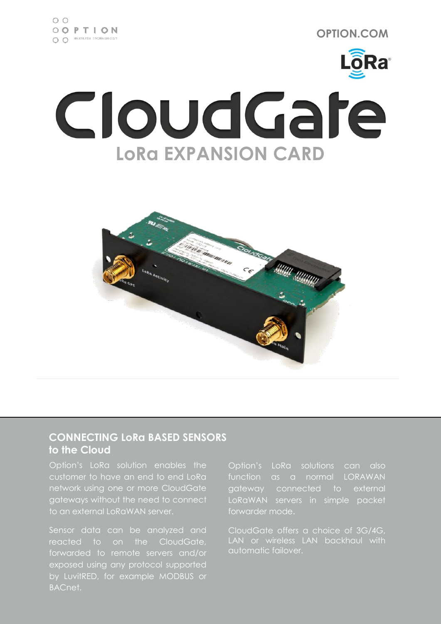

# CloudGare **LoRa EXPANSION CARD**



### **CONNECTING LoRa BASED SENSORS to the Cloud**

Option's LoRa solution enables the customer to have an end to end LoRa network using one or more CloudGate gateways without the need to connect to an external LoRaWAN server.

Sensor data can be analyzed and reacted to on the CloudGate, forwarded to remote servers and/or exposed using any protocol supported by LuvitRED, for example MODBUS or BACnet.

Option's LoRa solutions can also function as a normal LORAWAN gateway connected to external LoRaWAN servers in simple packet forwarder mode.

CloudGate offers a choice of 3G/4G, automatic failover.